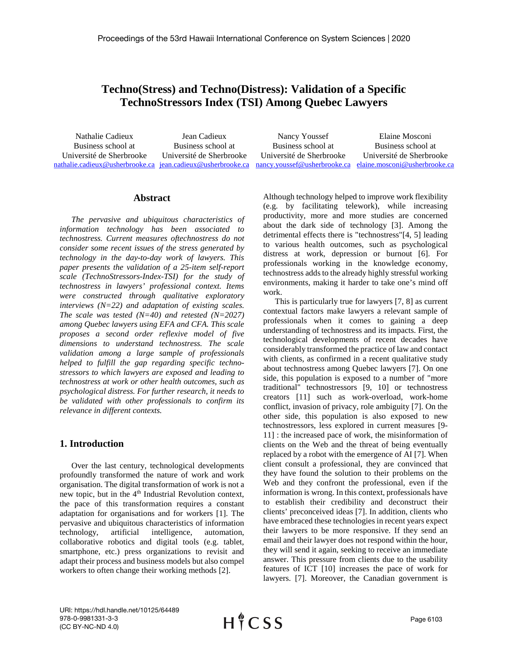# **Techno(Stress) and Techno(Distress): Validation of a Specific TechnoStressors Index (TSI) Among Quebec Lawyers**

| Nathalie Cadieux                                                                                                       | Jean Cadieux             | Nancy Youssef            | Elaine Mosconi           |
|------------------------------------------------------------------------------------------------------------------------|--------------------------|--------------------------|--------------------------|
| Business school at                                                                                                     | Business school at       | Business school at       | Business school at       |
| Université de Sherbrooke                                                                                               | Université de Sherbrooke | Université de Sherbrooke | Université de Sherbrooke |
| nathalie.cadieux@usherbrooke.ca_jean.cadieux@usherbrooke.ca_nancy.youssef@usherbrooke.ca_elaine.mosconi@usherbrooke.ca |                          |                          |                          |

## **Abstract**

*The pervasive and ubiquitous characteristics of information technology has been associated to technostress. Current measures oftechnostress do not consider some recent issues of the stress generated by technology in the day-to-day work of lawyers. This paper presents the validation of a 25-item self-report scale (TechnoStressors-Index-TSI) for the study of technostress in lawyers' professional context. Items were constructed through qualitative exploratory interviews (N=22) and adaptation of existing scales. The scale was tested (N=40) and retested (N=2027) among Quebec lawyers using EFA and CFA. This scale proposes a second order reflexive model of five dimensions to understand technostress. The scale validation among a large sample of professionals helped to fulfill the gap regarding specific technostressors to which lawyers are exposed and leading to technostress at work or other health outcomes, such as psychological distress. For further research, it needs to be validated with other professionals to confirm its relevance in different contexts.*

# **1. Introduction**

Over the last century, technological developments profoundly transformed the nature of work and work organisation. The digital transformation of work is not a new topic, but in the 4<sup>th</sup> Industrial Revolution context, the pace of this transformation requires a constant adaptation for organisations and for workers [1]. The pervasive and ubiquitous characteristics of information technology, artificial intelligence, automation, collaborative robotics and digital tools (e.g. tablet, smartphone, etc.) press organizations to revisit and adapt their process and business models but also compel workers to often change their working methods [2].

Although technology helped to improve work flexibility (e.g. by facilitating telework), while increasing productivity, more and more studies are concerned about the dark side of technology [3]. Among the detrimental effects there is "technostress"[4, 5] leading to various health outcomes, such as psychological distress at work, depression or burnout [6]. For professionals working in the knowledge economy, technostress adds to the already highly stressful working environments, making it harder to take one's mind off work.

This is particularly true for lawyers [7, 8] as current contextual factors make lawyers a relevant sample of professionals when it comes to gaining a deep understanding of technostress and its impacts. First, the technological developments of recent decades have considerably transformed the practice of law and contact with clients, as confirmed in a recent qualitative study about technostress among Quebec lawyers [7]. On one side, this population is exposed to a number of "more traditional" technostressors [9, 10] or technostress creators [11] such as work-overload, work-home conflict, invasion of privacy, role ambiguity [7]. On the other side, this population is also exposed to new technostressors, less explored in current measures [9- 11] : the increased pace of work, the misinformation of clients on the Web and the threat of being eventually replaced by a robot with the emergence of AI [7]. When client consult a professional, they are convinced that they have found the solution to their problems on the Web and they confront the professional, even if the information is wrong. In this context, professionals have to establish their credibility and deconstruct their clients' preconceived ideas [7]. In addition, clients who have embraced these technologies in recent years expect their lawyers to be more responsive. If they send an email and their lawyer does not respond within the hour, they will send it again, seeking to receive an immediate answer. This pressure from clients due to the usability features of ICT [10] increases the pace of work for lawyers. [7]. Moreover, the Canadian government is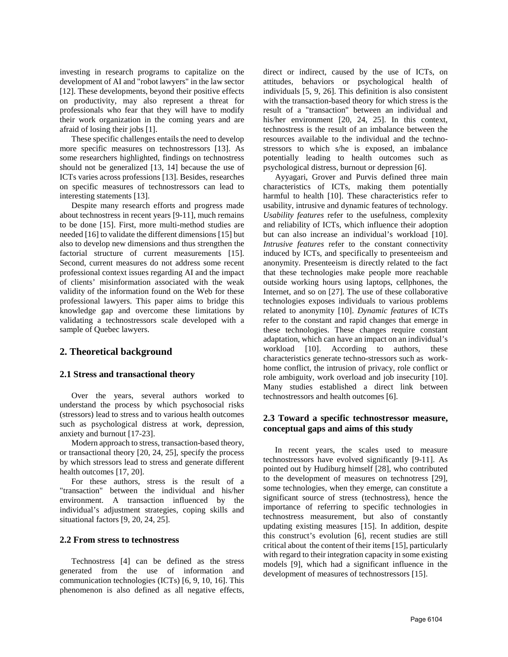investing in research programs to capitalize on the development of AI and "robot lawyers" in the law sector [12]. These developments, beyond their positive effects on productivity, may also represent a threat for professionals who fear that they will have to modify their work organization in the coming years and are afraid of losing their jobs [1].

These specific challenges entails the need to develop more specific measures on technostressors [13]. As some researchers highlighted, findings on technostress should not be generalized [13, 14] because the use of ICTs varies across professions [13]. Besides, researches on specific measures of technostressors can lead to interesting statements [13].

Despite many research efforts and progress made about technostress in recent years [9-11], much remains to be done [15]. First, more multi-method studies are needed [16] to validate the different dimensions [15] but also to develop new dimensions and thus strengthen the factorial structure of current measurements [15]. Second, current measures do not address some recent professional context issues regarding AI and the impact of clients' misinformation associated with the weak validity of the information found on the Web for these professional lawyers. This paper aims to bridge this knowledge gap and overcome these limitations by validating a technostressors scale developed with a sample of Quebec lawyers.

## **2. Theoretical background**

#### **2.1 Stress and transactional theory**

Over the years, several authors worked to understand the process by which psychosocial risks (stressors) lead to stress and to various health outcomes such as psychological distress at work, depression, anxiety and burnout [17-23].

Modern approach to stress, transaction-based theory, or transactional theory [20, 24, 25], specify the process by which stressors lead to stress and generate different health outcomes [17, 20].

For these authors, stress is the result of a "transaction" between the individual and his/her environment. A transaction influenced by the individual's adjustment strategies, coping skills and situational factors [9, 20, 24, 25].

#### **2.2 From stress to technostress**

Technostress [4] can be defined as the stress generated from the use of information and communication technologies (ICTs) [6, 9, 10, 16]. This phenomenon is also defined as all negative effects,

direct or indirect, caused by the use of ICTs, on attitudes, behaviors or psychological health of individuals [5, 9, 26]. This definition is also consistent with the transaction-based theory for which stress is the result of a "transaction" between an individual and his/her environment [20, 24, 25]. In this context, technostress is the result of an imbalance between the resources available to the individual and the technostressors to which s/he is exposed, an imbalance potentially leading to health outcomes such as psychological distress, burnout or depression [6].

Ayyagari, Grover and Purvis defined three main characteristics of ICTs, making them potentially harmful to health [10]. These characteristics refer to usability, intrusive and dynamic features of technology. *Usability features* refer to the usefulness, complexity and reliability of ICTs, which influence their adoption but can also increase an individual's workload [10]. *Intrusive features* refer to the constant connectivity induced by ICTs, and specifically to presenteeism and anonymity. Presenteeism is directly related to the fact that these technologies make people more reachable outside working hours using laptops, cellphones, the Internet, and so on [27]. The use of these collaborative technologies exposes individuals to various problems related to anonymity [10]. *Dynamic features* of ICTs refer to the constant and rapid changes that emerge in these technologies. These changes require constant adaptation, which can have an impact on an individual's workload [10]. According to authors, these characteristics generate techno-stressors such as workhome conflict, the intrusion of privacy, role conflict or role ambiguity, work overload and job insecurity [10]. Many studies established a direct link between technostressors and health outcomes [6].

## **2.3 Toward a specific technostressor measure, conceptual gaps and aims of this study**

In recent years, the scales used to measure technostressors have evolved significantly [9-11]. As pointed out by Hudiburg himself [28], who contributed to the development of measures on technotress [29], some technologies, when they emerge, can constitute a significant source of stress (technostress), hence the importance of referring to specific technologies in technostress measurement, but also of constantly updating existing measures [15]. In addition, despite this construct's evolution [6], recent studies are still critical about the content of their items [15], particularly with regard to their integration capacity in some existing models [9], which had a significant influence in the development of measures of technostressors [15].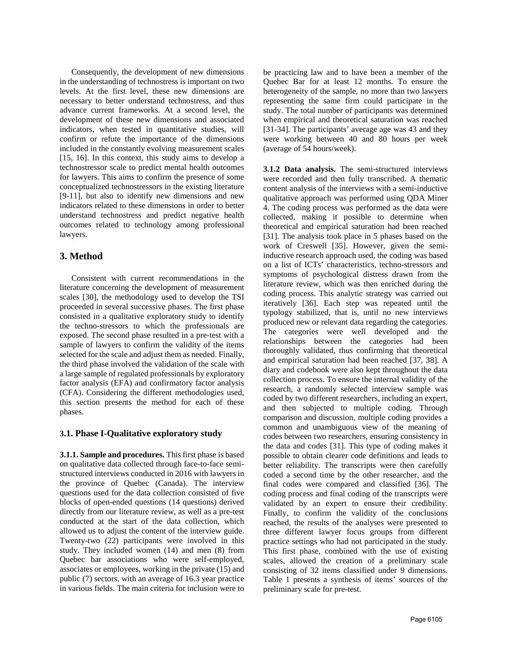Consequently, the development of new dimensions in the understanding of technostress is important on two levels. At the first level, these new dimensions are necessary to better understand technostress, and thus advance current frameworks. At a second level, the development of these new dimensions and associated indicators, when tested in quantitative studies, will confirm or refute the importance of the dimensions included in the constantly evolving measurement scales [15, 16]. In this context, this study aims to develop a technostressor scale to predict mental health outcomes for lawyers. This aims to confirm the presence of some conceptualized technostressors in the existing literature [9-11], but also to identify new dimensions and new indicators related to these dimensions in order to better understand technostress and predict negative health outcomes related to technology among professional lawyers.

# **3. Method**

Consistent with current recommendations in the literature concerning the development of measurement scales [30], the methodology used to develop the TSI proceeded in several successive phases. The first phase consisted in a qualitative exploratory study to identify the techno-stressors to which the professionals are exposed. The second phase resulted in a pre-test with a sample of lawyers to confirm the validity of the items selected for the scale and adjust them as needed. Finally, the third phase involved the validation of the scale with a large sample of regulated professionals by exploratory factor analysis (EFA) and confirmatory factor analysis (CFA). Considering the different methodologies used, this section presents the method for each of these phases.

## **3.1. Phase I-Qualitative exploratory study**

**3.1.1. Sample and procedures.** This first phase is based on qualitative data collected through face-to-face semistructured interviews conducted in 2016 with lawyers in the province of Quebec (Canada). The interview questions used for the data collection consisted of five blocks of open-ended questions (14 questions) derived directly from our literature review, as well as a pre-test conducted at the start of the data collection, which allowed us to adjust the content of the interview guide. Twenty-two (22) participants were involved in this study. They included women (14) and men (8) from Quebec bar associations who were self-employed, associates or employees, working in the private (15) and public (7) sectors, with an average of 16.3 year practice in various fields. The main criteria for inclusion were to

be practicing law and to have been a member of the Quebec Bar for at least 12 months. To ensure the heterogeneity of the sample, no more than two lawyers representing the same firm could participate in the study. The total number of participants was determined when empirical and theoretical saturation was reached [31-34]. The participants' average age was 43 and they were working between 40 and 80 hours per week (average of 54 hours/week).

**3.1.2 Data analysis.** The semi-structured interviews were recorded and then fully transcribed. A thematic content analysis of the interviews with a semi-inductive qualitative approach was performed using QDA Miner 4. The coding process was performed as the data were collected, making it possible to determine when theoretical and empirical saturation had been reached [31]. The analysis took place in 5 phases based on the work of Creswell [35]. However, given the semiinductive research approach used, the coding was based on a list of ICTs' characteristics, techno-stressors and symptoms of psychological distress drawn from the literature review, which was then enriched during the coding process. This analytic strategy was carried out iteratively [36]. Each step was repeated until the typology stabilized, that is, until no new interviews produced new or relevant data regarding the categories. The categories were well developed and the relationships between the categories had been thoroughly validated, thus confirming that theoretical and empirical saturation had been reached [37, 38]. A diary and codebook were also kept throughout the data collection process. To ensure the internal validity of the research, a randomly selected interview sample was coded by two different researchers, including an expert, and then subjected to multiple coding. Through comparison and discussion, multiple coding provides a common and unambiguous view of the meaning of codes between two researchers, ensuring consistency in the data and codes [31]. This type of coding makes it possible to obtain clearer code definitions and leads to better reliability. The transcripts were then carefully coded a second time by the other researcher, and the final codes were compared and classified [36]. The coding process and final coding of the transcripts were validated by an expert to ensure their credibility. Finally, to confirm the validity of the conclusions reached, the results of the analyses were presented to three different lawyer focus groups from different practice settings who had not participated in the study. This first phase, combined with the use of existing scales, allowed the creation of a preliminary scale consisting of 32 items classified under 9 dimensions. Table 1 presents a synthesis of items' sources of the preliminary scale for pre-test.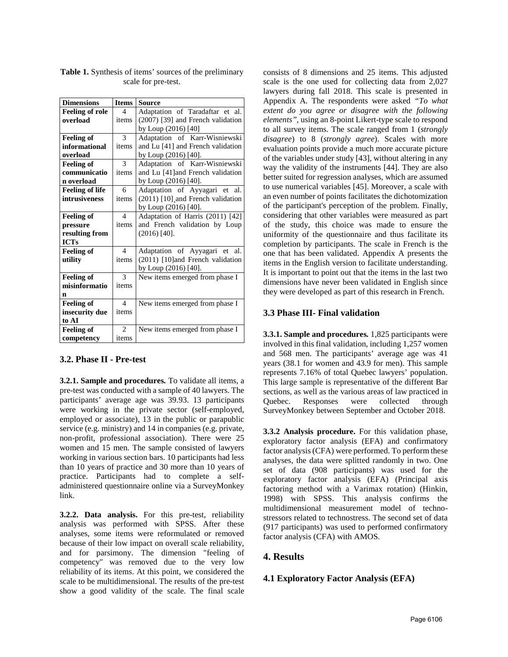| <b>Dimensions</b>      | <b>Items</b>            | <b>Source</b>                     |
|------------------------|-------------------------|-----------------------------------|
| <b>Feeling of role</b> | $\boldsymbol{\Delta}$   | Adaptation of Taradaftar et al.   |
| overload               | items                   | (2007) [39] and French validation |
|                        |                         | by Loup (2016) [40]               |
| <b>Feeling of</b>      | $\mathcal{E}$           | Adaptation of Karr-Wisniewski     |
| informational          | items                   | and Lu [41] and French validation |
| overload               |                         | by Loup (2016) [40].              |
| <b>Feeling of</b>      | 3                       | Adaptation of Karr-Wisniewski     |
| communicatio           | items                   | and Lu [41] and French validation |
| n overload             |                         | by Loup (2016) [40].              |
| <b>Feeling of life</b> | 6                       | Adaptation of Ayyagari et al.     |
| intrusiveness          | items                   | (2011) [10] and French validation |
|                        |                         | by Loup (2016) [40].              |
| <b>Feeling of</b>      | $\overline{4}$          | Adaptation of Harris (2011) [42]  |
| pressure               | items                   | and French validation by Loup     |
| resulting from         |                         | $(2016)$ [40].                    |
| <b>ICTs</b>            |                         |                                   |
| <b>Feeling of</b>      | $\overline{\mathbf{A}}$ | Adaptation of Ayyagari et al.     |
| utility                | items                   | (2011) [10] and French validation |
|                        |                         | by Loup (2016) [40].              |
| <b>Feeling of</b>      | $\mathcal{F}$           | New items emerged from phase I    |
| misinformatio          | items                   |                                   |
| n                      |                         |                                   |
| <b>Feeling of</b>      | $\overline{\mathbf{A}}$ | New items emerged from phase I    |
| insecurity due         | items                   |                                   |
| to AI                  |                         |                                   |
| <b>Feeling of</b>      | $\overline{2}$          | New items emerged from phase I    |
| competency             | items                   |                                   |

**Table 1.** Synthesis of items' sources of the preliminary scale for pre-test.

## **3.2. Phase II - Pre-test**

**3.2.1. Sample and procedures***.* To validate all items, a pre-test was conducted with a sample of 40 lawyers. The participants' average age was 39.93. 13 participants were working in the private sector (self-employed, employed or associate), 13 in the public or parapublic service (e.g. ministry) and 14 in companies (e.g. private, non-profit, professional association). There were 25 women and 15 men. The sample consisted of lawyers working in various section bars. 10 participants had less than 10 years of practice and 30 more than 10 years of practice. Participants had to complete a selfadministered questionnaire online via a SurveyMonkey link.

**3.2.2. Data analysis.** For this pre-test, reliability analysis was performed with SPSS. After these analyses, some items were reformulated or removed because of their low impact on overall scale reliability, and for parsimony. The dimension "feeling of competency" was removed due to the very low reliability of its items. At this point, we considered the scale to be multidimensional. The results of the pre-test show a good validity of the scale. The final scale

consists of 8 dimensions and 25 items. This adjusted scale is the one used for collecting data from 2,027 lawyers during fall 2018. This scale is presented in Appendix A. The respondents were asked *"To what extent do you agree or disagree with the following elements"*, using an 8-point Likert-type scale to respond to all survey items. The scale ranged from 1 (*strongly disagree*) to 8 (*strongly agree*). Scales with more evaluation points provide a much more accurate picture of the variables under study [43], without altering in any way the validity of the instruments [44]. They are also better suited for regression analyses, which are assumed to use numerical variables [45]. Moreover, a scale with an even number of points facilitates the dichotomization of the participant's perception of the problem. Finally, considering that other variables were measured as part of the study, this choice was made to ensure the uniformity of the questionnaire and thus facilitate its completion by participants. The scale in French is the one that has been validated. Appendix A presents the items in the English version to facilitate understanding. It is important to point out that the items in the last two dimensions have never been validated in English since they were developed as part of this research in French.

#### **3.3 Phase III- Final validation**

**3.3.1. Sample and procedures***.* 1,825 participants were involved in this final validation, including 1,257 women and 568 men. The participants' average age was 41 years (38.1 for women and 43.9 for men). This sample represents 7.16% of total Quebec lawyers' population. This large sample is representative of the different Bar sections, as well as the various areas of law practiced in Quebec. Responses were collected through SurveyMonkey between September and October 2018.

**3.3.2 Analysis procedure.** For this validation phase, exploratory factor analysis (EFA) and confirmatory factor analysis (CFA) were performed. To perform these analyses, the data were splitted randomly in two. One set of data (908 participants) was used for the exploratory factor analysis (EFA) (Principal axis factoring method with a Varimax rotation) (Hinkin, 1998) with SPSS. This analysis confirms the multidimensional measurement model of technostressors related to technostress. The second set of data (917 participants) was used to performed confirmatory factor analysis (CFA) with AMOS.

## **4. Results**

#### **4.1 Exploratory Factor Analysis (EFA)**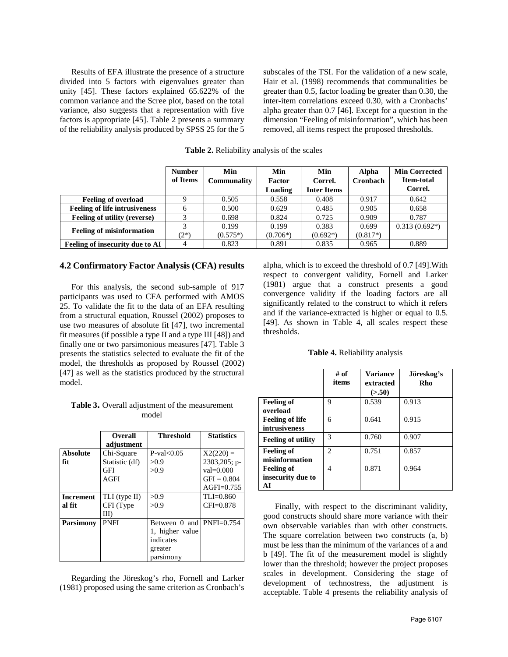Results of EFA illustrate the presence of a structure divided into 5 factors with eigenvalues greater than unity [45]. These factors explained 65.622% of the common variance and the Scree plot, based on the total variance, also suggests that a representation with five factors is appropriate [45]. Table 2 presents a summary of the reliability analysis produced by SPSS 25 for the 5

subscales of the TSI. For the validation of a new scale, Hair et al. (1998) recommends that communalities be greater than 0.5, factor loading be greater than 0.30, the inter-item correlations exceed 0.30, with a Cronbachs' alpha greater than 0.7 [46]. Except for a question in the dimension "Feeling of misinformation", which has been removed, all items respect the proposed thresholds.

**Table 2.** Reliability analysis of the scales

|                                      | <b>Number</b><br>of Items | Min<br>Communality | Min<br>Factor<br>Loading | Min<br>Correl.<br><b>Inter Items</b> | <b>Alpha</b><br>Cronbach | <b>Min Corrected</b><br><b>Item-total</b><br>Correl. |
|--------------------------------------|---------------------------|--------------------|--------------------------|--------------------------------------|--------------------------|------------------------------------------------------|
| <b>Feeling of overload</b>           |                           | 0.505              | 0.558                    | 0.408                                | 0.917                    | 0.642                                                |
| <b>Feeling of life intrusiveness</b> | 6                         | 0.500              | 0.629                    | 0.485                                | 0.905                    | 0.658                                                |
| Feeling of utility (reverse)         | 2                         | 0.698              | 0.824                    | 0.725                                | 0.909                    | 0.787                                                |
| <b>Feeling of misinformation</b>     | 3                         | 0.199              | 0.199                    | 0.383                                | 0.699                    | $0.313(0.692*)$                                      |
|                                      | $(2^*)$                   | $(0.575*)$         | $(0.706*)$               | $(0.692*)$                           | $(0.817*)$               |                                                      |
| Feeling of insecurity due to AI      |                           | 0.823              | 0.891                    | 0.835                                | 0.965                    | 0.889                                                |

#### **4.2 Confirmatory Factor Analysis (CFA) results**

For this analysis, the second sub-sample of 917 participants was used to CFA performed with AMOS 25. To validate the fit to the data of an EFA resulting from a structural equation, Roussel (2002) proposes to use two measures of absolute fit [47], two incremental fit measures (if possible a type II and a type III [48]) and finally one or two parsimonious measures [47]. Table 3 presents the statistics selected to evaluate the fit of the model, the thresholds as proposed by Roussel (2002) [47] as well as the statistics produced by the structural model.

**Table 3.** Overall adjustment of the measurement model

|                  | <b>Overall</b> | <b>Threshold</b>         | <b>Statistics</b> |
|------------------|----------------|--------------------------|-------------------|
|                  | adjustment     |                          |                   |
| <b>Absolute</b>  | Chi-Square     | $P-value(0.05)$          | $X2(220) =$       |
| fit              | Statistic (df) | >0.9                     | 2303,205; p-      |
|                  | GFI            | >0.9                     | $val = 0.000$     |
|                  | AGFI           |                          | $GFI = 0.804$     |
|                  |                |                          | $AGFI=0.755$      |
| <b>Increment</b> | TLI (type II)  | >0.9                     | $TLI = 0.860$     |
| al fit           | CFI (Type      | >0.9                     | $CFI=0.878$       |
|                  | III)           |                          |                   |
| <b>Parsimony</b> | <b>PNFI</b>    | Between 0 and PNFI=0.754 |                   |
|                  |                | 1, higher value          |                   |
|                  |                | indicates                |                   |
|                  |                | greater                  |                   |
|                  |                | parsimony                |                   |

Regarding the Jöreskog's rho, Fornell and Larker (1981) proposed using the same criterion as Cronbach's

alpha, which is to exceed the threshold of 0.7 [49].With respect to convergent validity, Fornell and Larker (1981) argue that a construct presents a good convergence validity if the loading factors are all significantly related to the construct to which it refers and if the variance-extracted is higher or equal to 0.5. [49]. As shown in Table 4, all scales respect these thresholds.

|  | Table 4. Reliability analysis |  |
|--|-------------------------------|--|
|  |                               |  |

|                                              | # of<br>items               | <b>Variance</b><br>extracted<br>(> 50) | Jöreskog's<br>Rho |
|----------------------------------------------|-----------------------------|----------------------------------------|-------------------|
| <b>Feeling of</b><br>overload                | Q                           | 0.539                                  | 0.913             |
| <b>Feeling of life</b><br>intrusiveness      | 6                           | 0.641                                  | 0.915             |
| <b>Feeling of utility</b>                    | 3                           | 0.760                                  | 0.907             |
| <b>Feeling of</b><br>misinformation          | $\mathcal{D}_{\mathcal{L}}$ | 0.751                                  | 0.857             |
| <b>Feeling of</b><br>insecurity due to<br>AI | 4                           | 0.871                                  | 0.964             |

Finally, with respect to the discriminant validity, good constructs should share more variance with their own observable variables than with other constructs. The square correlation between two constructs (a, b) must be less than the minimum of the variances of a and b [49]. The fit of the measurement model is slightly lower than the threshold; however the project proposes scales in development. Considering the stage of development of technostress, the adjustment is acceptable. Table 4 presents the reliability analysis of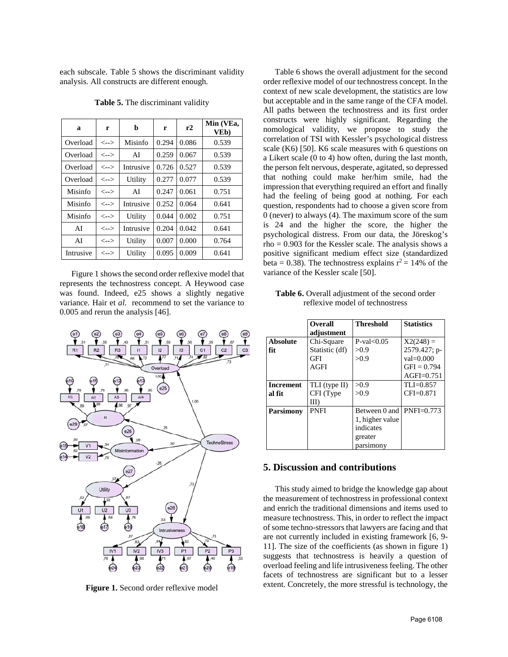each subscale. Table 5 shows the discriminant validity analysis. All constructs are different enough.

| a         | r                                       | b         | r     | r2    | Min (VEa,<br>VE <sub>b</sub> ) |
|-----------|-----------------------------------------|-----------|-------|-------|--------------------------------|
| Overload  | $\left\langle \text{--}\right\rangle$   | Misinfo   | 0.294 | 0.086 | 0.539                          |
| Overload  | $\left\langle \leftarrow \right\rangle$ | AI        | 0.259 | 0.067 | 0.539                          |
| Overload  | $\left\langle \text{--}\right\rangle$   | Intrusive | 0.726 | 0.527 | 0.539                          |
| Overload  | $\left\langle \leftarrow \right\rangle$ | Utility   | 0.277 | 0.077 | 0.539                          |
| Misinfo   | $\left\langle \text{--}\right\rangle$   | ΑI        | 0.247 | 0.061 | 0.751                          |
| Misinfo   | $\left\langle \leftarrow \right\rangle$ | Intrusive | 0.252 | 0.064 | 0.641                          |
| Misinfo   | <-->                                    | Utility   | 0.044 | 0.002 | 0.751                          |
| AI        | $\left\langle \text{--}\right\rangle$   | Intrusive | 0.204 | 0.042 | 0.641                          |
| AI        | <-->                                    | Utility   | 0.007 | 0.000 | 0.764                          |
| Intrusive | $\left\langle \leftarrow \right\rangle$ | Utility   | 0.095 | 0.009 | 0.641                          |

**Table 5.** The discriminant validity

Figure 1 shows the second order reflexive model that represents the technostress concept. A Heywood case was found. Indeed, e25 shows a slightly negative variance. Hair et *al*. recommend to set the variance to 0.005 and rerun the analysis [46].



**Figure 1.** Second order reflexive model

Table 6 shows the overall adjustment for the second order reflexive model of our technostress concept. In the context of new scale development, the statistics are low but acceptable and in the same range of the CFA model. All paths between the technostress and its first order constructs were highly significant. Regarding the nomological validity, we propose to study the correlation of TSI with Kessler's psychological distress scale (K6) [50]. K6 scale measures with 6 questions on a Likert scale (0 to 4) how often, during the last month, the person felt nervous, desperate, agitated, so depressed that nothing could make her/him smile, had the impression that everything required an effort and finally had the feeling of being good at nothing. For each question, respondents had to choose a given score from 0 (never) to always (4). The maximum score of the sum is 24 and the higher the score, the higher the psychological distress. From our data, the Jöreskog's  $rho = 0.903$  for the Kessler scale. The analysis shows a positive significant medium effect size (standardized beta = 0.38). The technostress explains  $r^2 = 14\%$  of the variance of the Kessler scale [50].

Table **6.** Overall adjustment of the second order reflexive model of technostress

|                  | <b>Overall</b><br>adjustment | <b>Threshold</b>            | <b>Statistics</b> |
|------------------|------------------------------|-----------------------------|-------------------|
| <b>Absolute</b>  | Chi-Square                   | $P-value0.05$               | $X2(248) =$       |
| fit              | Statistic (df)               | >0.9                        | 2579.427; p-      |
|                  | GFI                          | >0.9                        | $val = 0.000$     |
|                  | AGFI                         |                             | $GFI = 0.794$     |
|                  |                              |                             | $AGFI=0.751$      |
| <b>Increment</b> | TLI (type II)                | >0.9                        | $TLI=0.857$       |
| al fit           | CFI (Type                    | >0.9                        | $CFI=0.871$       |
|                  | III)                         |                             |                   |
| <b>Parsimony</b> | PNFI                         | Between 0 and $ PNFI=0.773$ |                   |
|                  |                              | 1, higher value             |                   |
|                  |                              | indicates                   |                   |
|                  |                              | greater                     |                   |
|                  |                              | parsimony                   |                   |

#### **5. Discussion and contributions**

This study aimed to bridge the knowledge gap about the measurement of technostress in professional context and enrich the traditional dimensions and items used to measure technostress. This, in order to reflect the impact of some techno-stressors that lawyers are facing and that are not currently included in existing framework [6, 9- 11]. The size of the coefficients (as shown in figure 1) suggests that technostress is heavily a question of overload feeling and life intrusiveness feeling. The other facets of technostress are significant but to a lesser extent. Concretely, the more stressful is technology, the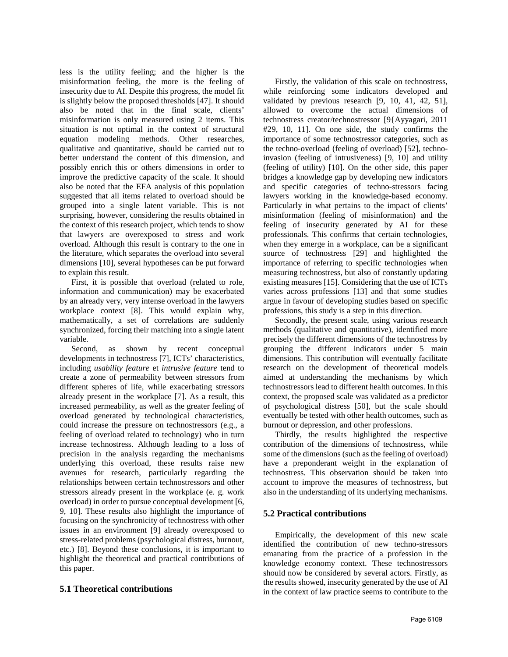less is the utility feeling; and the higher is the misinformation feeling, the more is the feeling of insecurity due to AI. Despite this progress, the model fit is slightly below the proposed thresholds [47]. It should also be noted that in the final scale, clients' misinformation is only measured using 2 items. This situation is not optimal in the context of structural equation modeling methods. Other researches, qualitative and quantitative, should be carried out to better understand the content of this dimension, and possibly enrich this or others dimensions in order to improve the predictive capacity of the scale. It should also be noted that the EFA analysis of this population suggested that all items related to overload should be grouped into a single latent variable. This is not surprising, however, considering the results obtained in the context of this research project, which tends to show that lawyers are overexposed to stress and work overload. Although this result is contrary to the one in the literature, which separates the overload into several dimensions [10], several hypotheses can be put forward to explain this result.

First, it is possible that overload (related to role, information and communication) may be exacerbated by an already very, very intense overload in the lawyers workplace context [8]. This would explain why, mathematically, a set of correlations are suddenly synchronized, forcing their matching into a single latent variable.

Second, as shown by recent conceptual developments in technostress [7], ICTs' characteristics, including *usability feature* et *intrusive feature* tend to create a zone of permeability between stressors from different spheres of life, while exacerbating stressors already present in the workplace [7]. As a result, this increased permeability, as well as the greater feeling of overload generated by technological characteristics, could increase the pressure on technostressors (e.g., a feeling of overload related to technology) who in turn increase technostress. Although leading to a loss of precision in the analysis regarding the mechanisms underlying this overload, these results raise new avenues for research, particularly regarding the relationships between certain technostressors and other stressors already present in the workplace (e. g. work overload) in order to pursue conceptual development [6, 9, 10]. These results also highlight the importance of focusing on the synchronicity of technostress with other issues in an environment [9] already overexposed to stress-related problems (psychological distress, burnout, etc.) [8]. Beyond these conclusions, it is important to highlight the theoretical and practical contributions of this paper.

# **5.1 Theoretical contributions**

Firstly, the validation of this scale on technostress, while reinforcing some indicators developed and validated by previous research [9, 10, 41, 42, 51], allowed to overcome the actual dimensions of technostress creator/technostressor [9{Ayyagari, 2011 #29, 10, 11]. On one side, the study confirms the importance of some technostressor categories, such as the techno-overload (feeling of overload) [52], technoinvasion (feeling of intrusiveness) [9, 10] and utility (feeling of utility) [10]. On the other side, this paper bridges a knowledge gap by developing new indicators and specific categories of techno-stressors facing lawyers working in the knowledge-based economy. Particularly in what pertains to the impact of clients' misinformation (feeling of misinformation) and the feeling of insecurity generated by AI for these professionals. This confirms that certain technologies, when they emerge in a workplace, can be a significant source of technostress [29] and highlighted the importance of referring to specific technologies when measuring technostress, but also of constantly updating existing measures [15]. Considering that the use of ICTs varies across professions [13] and that some studies argue in favour of developing studies based on specific professions, this study is a step in this direction.

Secondly, the present scale, using various research methods (qualitative and quantitative), identified more precisely the different dimensions of the technostress by grouping the different indicators under 5 main dimensions. This contribution will eventually facilitate research on the development of theoretical models aimed at understanding the mechanisms by which technostressors lead to different health outcomes. In this context, the proposed scale was validated as a predictor of psychological distress [50], but the scale should eventually be tested with other health outcomes, such as burnout or depression, and other professions.

Thirdly, the results highlighted the respective contribution of the dimensions of technostress, while some of the dimensions (such as the feeling of overload) have a preponderant weight in the explanation of technostress. This observation should be taken into account to improve the measures of technostress, but also in the understanding of its underlying mechanisms.

# **5.2 Practical contributions**

Empirically, the development of this new scale identified the contribution of new techno-stressors emanating from the practice of a profession in the knowledge economy context. These technostressors should now be considered by several actors. Firstly, as the results showed, insecurity generated by the use of AI in the context of law practice seems to contribute to the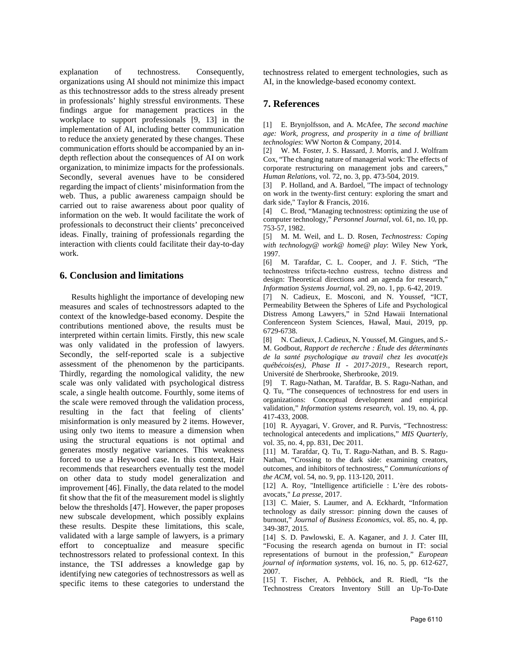explanation of technostress. Consequently, organizations using AI should not minimize this impact as this technostressor adds to the stress already present in professionals' highly stressful environments. These findings argue for management practices in the workplace to support professionals [9, 13] in the implementation of AI, including better communication to reduce the anxiety generated by these changes. These communication efforts should be accompanied by an indepth reflection about the consequences of AI on work organization, to minimize impacts for the professionals. Secondly, several avenues have to be considered regarding the impact of clients' misinformation from the web. Thus, a public awareness campaign should be carried out to raise awareness about poor quality of information on the web. It would facilitate the work of professionals to deconstruct their clients' preconceived ideas. Finally, training of professionals regarding the interaction with clients could facilitate their day-to-day work.

## **6. Conclusion and limitations**

Results highlight the importance of developing new measures and scales of technostressors adapted to the context of the knowledge-based economy. Despite the contributions mentioned above, the results must be interpreted within certain limits. Firstly, this new scale was only validated in the profession of lawyers. Secondly, the self-reported scale is a subjective assessment of the phenomenon by the participants. Thirdly, regarding the nomological validity, the new scale was only validated with psychological distress scale, a single health outcome. Fourthly, some items of the scale were removed through the validation process, resulting in the fact that feeling of clients' misinformation is only measured by 2 items. However, using only two items to measure a dimension when using the structural equations is not optimal and generates mostly negative variances. This weakness forced to use a Heywood case. In this context, Hair recommends that researchers eventually test the model on other data to study model generalization and improvement [46]. Finally, the data related to the model fit show that the fit of the measurement model is slightly below the thresholds [47]. However, the paper proposes new subscale development, which possibly explains these results. Despite these limitations, this scale, validated with a large sample of lawyers, is a primary effort to conceptualize and measure specific technostressors related to professional context. In this instance, the TSI addresses a knowledge gap by identifying new categories of technostressors as well as specific items to these categories to understand the

technostress related to emergent technologies, such as AI, in the knowledge-based economy context.

# **7. References**

[1] E. Brynjolfsson, and A. McAfee, *The second machine age: Work, progress, and prosperity in a time of brilliant technologies*: WW Norton & Company, 2014.

[2] W. M. Foster, J. S. Hassard, J. Morris, and J. Wolfram Cox, "The changing nature of managerial work: The effects of corporate restructuring on management jobs and careers," *Human Relations,* vol. 72, no. 3, pp. 473-504, 2019.

[3] P. Holland, and A. Bardoel, "The impact of technology on work in the twenty-first century: exploring the smart and dark side," Taylor & Francis, 2016.

[4] C. Brod, "Managing technostress: optimizing the use of computer technology," *Personnel Journal,* vol. 61, no. 10, pp. 753-57, 1982.

[5] M. M. Weil, and L. D. Rosen, *Technostress: Coping with technology@ work@ home@ play*: Wiley New York, 1997.

[6] M. Tarafdar, C. L. Cooper, and J. F. Stich, "The technostress trifecta‐techno eustress, techno distress and design: Theoretical directions and an agenda for research," *Information Systems Journal,* vol. 29, no. 1, pp. 6-42, 2019.

[7] N. Cadieux, E. Mosconi, and N. Youssef, "ICT, Permeability Between the Spheres of Life and Psychological Distress Among Lawyers," in 52nd Hawaii International Conferenceon System Sciences, HawaÏ, Maui, 2019, pp. 6729-6738.

[8] N. Cadieux, J. Cadieux, N. Youssef, M. Gingues, and S.- M. Godbout, *Rapport de recherche : Étude des déterminants de la santé psychologique au travail chez les avocat(e)s québécois(es), Phase II - 2017-2019.,* Research report, Université de Sherbrooke, Sherbrooke, 2019.

[9] T. Ragu-Nathan, M. Tarafdar, B. S. Ragu-Nathan, and Q. Tu, "The consequences of technostress for end users in organizations: Conceptual development and empirical validation," *Information systems research,* vol. 19, no. 4, pp. 417-433, 2008.

[10] R. Ayyagari, V. Grover, and R. Purvis, "Technostress: technological antecedents and implications," *MIS Quarterly,* vol. 35, no. 4, pp. 831, Dec 2011.

[11] M. Tarafdar, Q. Tu, T. Ragu-Nathan, and B. S. Ragu-Nathan, "Crossing to the dark side: examining creators, outcomes, and inhibitors of technostress," *Communications of the ACM,* vol. 54, no. 9, pp. 113-120, 2011.

[12] A. Roy, "Intelligence artificielle : L'ère des robotsavocats," *La presse*, 2017.

[13] C. Maier, S. Laumer, and A. Eckhardt, "Information technology as daily stressor: pinning down the causes of burnout," *Journal of Business Economics,* vol. 85, no. 4, pp. 349-387, 2015.

[14] S. D. Pawlowski, E. A. Kaganer, and J. J. Cater III, "Focusing the research agenda on burnout in IT: social representations of burnout in the profession," *European journal of information systems,* vol. 16, no. 5, pp. 612-627, 2007.

[15] T. Fischer, A. Pehböck, and R. Riedl, "Is the Technostress Creators Inventory Still an Up-To-Date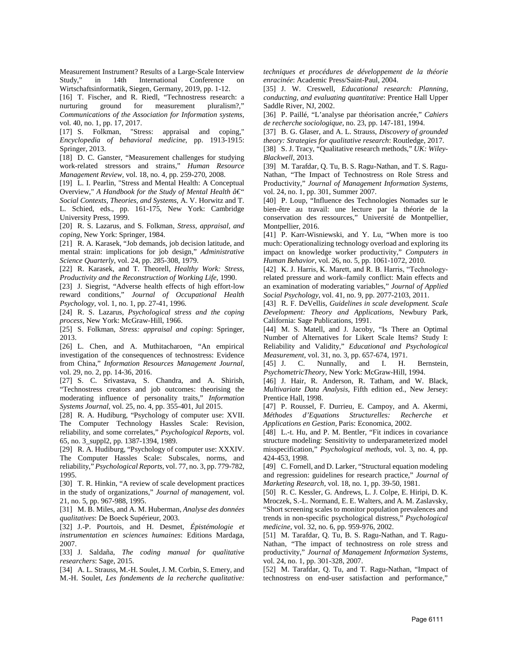Measurement Instrument? Results of a Large-Scale Interview Study," in 14th International Conference on Wirtschaftsinformatik, Siegen, Germany, 2019, pp. 1-12.

[16] T. Fischer, and R. Riedl, "Technostress research: a nurturing ground for measurement *Communications of the Association for Information systems,* vol. 40, no. 1, pp. 17, 2017.

[17] S. Folkman, "Stress: appraisal and coping," *Encyclopedia of behavioral medicine*, pp. 1913-1915: Springer, 2013.

[18] D. C. Ganster, "Measurement challenges for studying work-related stressors and strains," *Human Resource Management Review,* vol. 18, no. 4, pp. 259-270, 2008.

[19] L. I. Pearlin, "Stress and Mental Health: A Conceptual Overview," *A Handbook for the Study of Mental Health â€*" *Social Contexts, Theories, and Systems*, A. V. Horwitz and T.

L. Schied, eds., pp. 161-175, New York: Cambridge University Press, 1999.

[20] R. S. Lazarus, and S. Folkman, *Stress, appraisal, and coping*, New York: Springer, 1984.

[21] R. A. Karasek, "Job demands, job decision latitude, and mental strain: implications for job design," *Administrative Science Quarterly,* vol. 24, pp. 285-308, 1979.

[22] R. Karasek, and T. Theorell, *Healthy Work: Stress, Productivity and the Reconstruction of Working Life*, 1990.

[23] J. Siegrist, "Adverse health effects of high effort-low reward conditions," *Journal of Occupational Health Psychology,* vol. 1, no. 1, pp. 27-41, 1996.

[24] R. S. Lazarus, *Psychological stress and the coping process*, New York: McGraw-Hill, 1966.

[25] S. Folkman, *Stress: appraisal and coping*: Springer, 2013.

[26] L. Chen, and A. Muthitacharoen, "An empirical investigation of the consequences of technostress: Evidence from China," *Information Resources Management Journal,* vol. 29, no. 2, pp. 14-36, 2016.

[27] S. C. Srivastava, S. Chandra, and A. Shirish, "Technostress creators and job outcomes: theorising the moderating influence of personality traits," *Information Systems Journal,* vol. 25, no. 4, pp. 355-401, Jul 2015.

[28] R. A. Hudiburg, "Psychology of computer use: XVII. The Computer Technology Hassles Scale: Revision, reliability, and some correlates," *Psychological Reports,* vol. 65, no. 3\_suppl2, pp. 1387-1394, 1989.

[29] R. A. Hudiburg, "Psychology of computer use: XXXIV. The Computer Hassles Scale: Subscales, norms, and reliability," *Psychological Reports,* vol. 77, no. 3, pp. 779-782, 1995.

[30] T. R. Hinkin, "A review of scale development practices in the study of organizations," *Journal of management,* vol. 21, no. 5, pp. 967-988, 1995.

[31] M. B. Miles, and A. M. Huberman, *Analyse des données qualitatives*: De Boeck Supérieur, 2003.

[32] J.-P. Pourtois, and H. Desmet, *Épistémologie et instrumentation en sciences humaines*: Editions Mardaga, 2007.

[33] J. Saldaña, *The coding manual for qualitative researchers*: Sage, 2015.

[34] A. L. Strauss, M.-H. Soulet, J. M. Corbin, S. Emery, and M.-H. Soulet, *Les fondements de la recherche qualitative:*  *techniques et procédures de développement de la théorie enracinée*: Academic Press/Saint-Paul, 2004.

[35] J. W. Creswell, *Educational research: Planning, conducting, and evaluating quantitative*: Prentice Hall Upper Saddle River, NJ, 2002.

[36] P. Paillé, "L'analyse par théorisation ancrée," *Cahiers de recherche sociologique*, no. 23, pp. 147-181, 1994.

[37] B. G. Glaser, and A. L. Strauss, *Discovery of grounded theory: Strategies for qualitative research*: Routledge, 2017.

[38] S. J. Tracy, "Qualitative research methods," *UK: Wiley-Blackwell*, 2013.

[39] M. Tarafdar, Q. Tu, B. S. Ragu-Nathan, and T. S. Ragu-Nathan, "The Impact of Technostress on Role Stress and Productivity," *Journal of Management Information Systems,* vol. 24, no. 1, pp. 301, Summer 2007.

[40] P. Loup, "Influence des Technologies Nomades sur le bien-être au travail: une lecture par la théorie de la conservation des ressources," Université de Montpellier, Montpellier, 2016.

[41] P. Karr-Wisniewski, and Y. Lu, "When more is too much: Operationalizing technology overload and exploring its impact on knowledge worker productivity," *Computers in Human Behavior,* vol. 26, no. 5, pp. 1061-1072, 2010.

[42] K. J. Harris, K. Marett, and R. B. Harris, "Technologyrelated pressure and work–family conflict: Main effects and an examination of moderating variables," *Journal of Applied Social Psychology,* vol. 41, no. 9, pp. 2077-2103, 2011.

[43] R. F. DeVellis, *Guidelines in scale development. Scale Development: Theory and Applications*, Newbury Park, California: Sage Publications, 1991.

[44] M. S. Matell, and J. Jacoby, "Is There an Optimal Number of Alternatives for Likert Scale Items? Study I: Reliability and Validity," *Educational and Psychological Measurement,* vol. 31, no. 3, pp. 657-674, 1971.

[45] J. C. Nunnally, and I. H. Bernstein, *PsychometricTheory*, New York: McGraw-Hill, 1994.

[46] J. Hair, R. Anderson, R. Tatham, and W. Black, *Multivariate Data Analysis*, Fifth edition ed., New Jersey: Prentice Hall, 1998.

[47] P. Roussel, F. Durrieu, E. Campoy, and A. Akermi, *Méthodes d'Equations Structurelles: Recherche et Applications en Gestion*, Paris: Economica, 2002.

[48] L.-t. Hu, and P. M. Bentler, "Fit indices in covariance structure modeling: Sensitivity to underparameterized model misspecification," *Psychological methods,* vol. 3, no. 4, pp. 424-453, 1998.

[49] C. Fornell, and D. Larker, "Structural equation modeling and regression: guidelines for research practice," *Journal of Marketing Research,* vol. 18, no. 1, pp. 39-50, 1981.

[50] R. C. Kessler, G. Andrews, L. J. Colpe, E. Hiripi, D. K. Mroczek, S.-L. Normand, E. E. Walters, and A. M. Zaslavsky, "Short screening scales to monitor population prevalences and trends in non-specific psychological distress," *Psychological medicine,* vol. 32, no. 6, pp. 959-976, 2002.

[51] M. Tarafdar, Q. Tu, B. S. Ragu-Nathan, and T. Ragu-Nathan, "The impact of technostress on role stress and productivity," *Journal of Management Information Systems,* vol. 24, no. 1, pp. 301-328, 2007.

[52] M. Tarafdar, Q. Tu, and T. Ragu-Nathan, "Impact of technostress on end-user satisfaction and performance,"